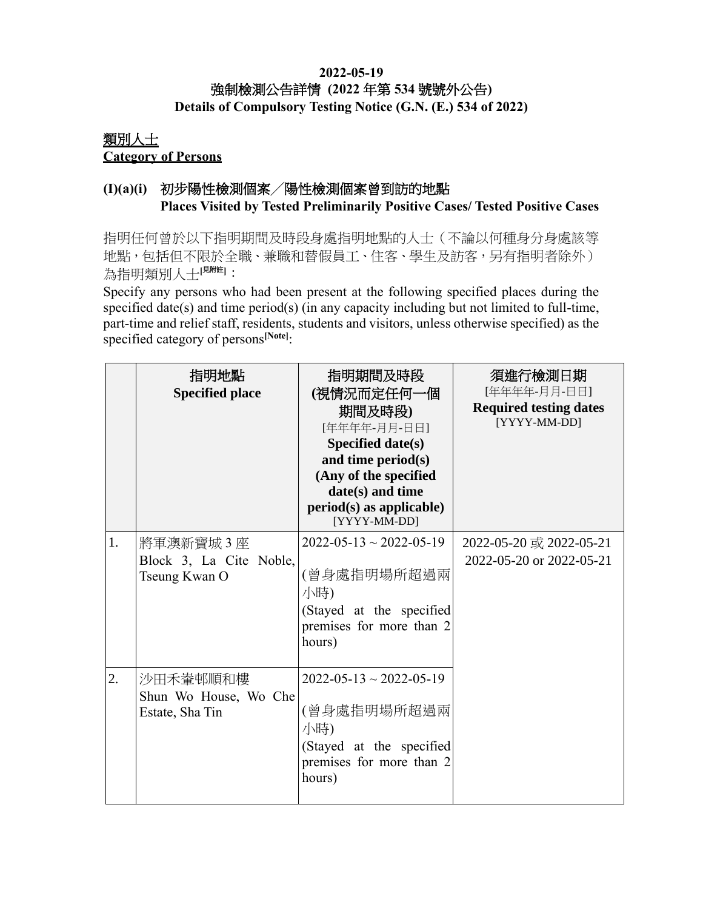## **2022-05-19** 強制檢測公告詳情 **(2022** 年第 **534** 號號外公告**) Details of Compulsory Testing Notice (G.N. (E.) 534 of 2022)**

## 類別人士 **Category of Persons**

## **(I)(a)(i)** 初步陽性檢測個案╱陽性檢測個案曾到訪的地點 **Places Visited by Tested Preliminarily Positive Cases/ Tested Positive Cases**

指明任何曾於以下指明期間及時段身處指明地點的人士(不論以何種身分身處該等 地點,包括但不限於全職、兼職和替假員工、住客、學生及訪客,另有指明者除外) 為指明類別人士[<sup>見附註]</sup>:

Specify any persons who had been present at the following specified places during the specified date(s) and time period(s) (in any capacity including but not limited to full-time, part-time and relief staff, residents, students and visitors, unless otherwise specified) as the specified category of persons**[Note]**:

|    | 指明地點<br><b>Specified place</b>                       | 指明期間及時段<br>(視情況而定任何一個<br>期間及時段)<br>[年年年年-月月-日日]<br><b>Specified date(s)</b><br>and time period(s)<br>(Any of the specified<br>date(s) and time<br>$period(s)$ as applicable)<br>[YYYY-MM-DD] | 須進行檢測日期<br>[年年年年-月月-日日]<br><b>Required testing dates</b><br>[YYYY-MM-DD] |
|----|------------------------------------------------------|----------------------------------------------------------------------------------------------------------------------------------------------------------------------------------------------|--------------------------------------------------------------------------|
| 1. | 將軍澳新寶城3座<br>Block 3, La Cite Noble,<br>Tseung Kwan O | $2022 - 05 - 13 \sim 2022 - 05 - 19$<br>(曾身處指明場所超過兩<br>小時)<br>(Stayed at the specified<br>premises for more than 2<br>hours)                                                                 | 2022-05-20 或 2022-05-21<br>2022-05-20 or 2022-05-21                      |
| 2. | 沙田禾輋邨順和樓<br>Shun Wo House, Wo Che<br>Estate, Sha Tin | $2022 - 05 - 13 \sim 2022 - 05 - 19$<br>(曾身處指明場所超過兩<br>小時)<br>(Stayed at the specified<br>premises for more than 2<br>hours)                                                                 |                                                                          |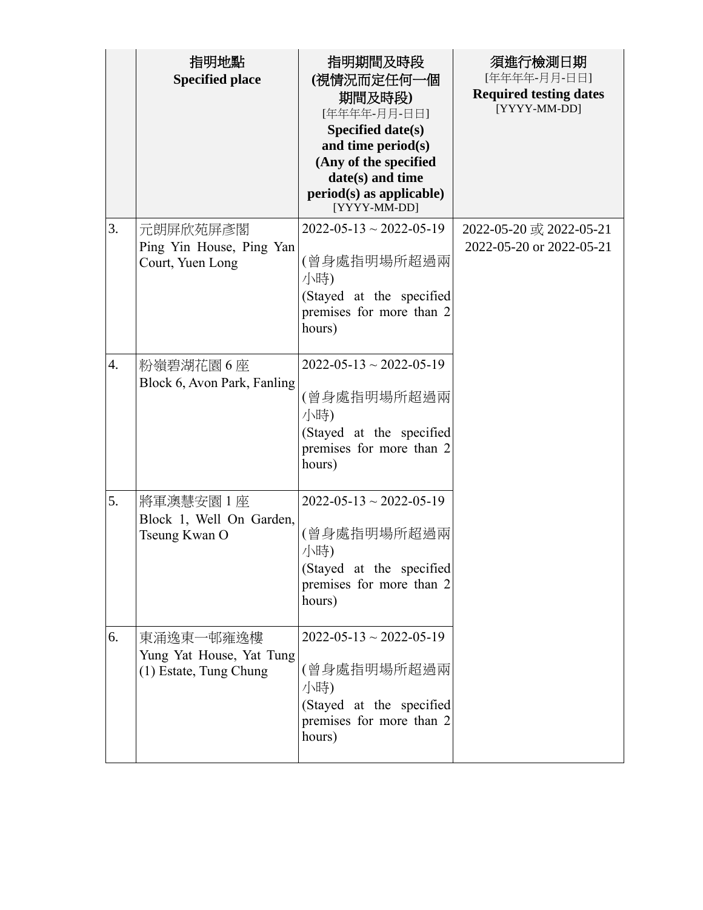|                  | 指明地點<br><b>Specified place</b>                                  | 指明期間及時段<br>(視情況而定任何一個<br>期間及時段)<br>[年年年年-月月-日日]<br>Specified date(s)<br>and time period(s)<br>(Any of the specified<br>date(s) and time<br>$period(s)$ as applicable)<br>[YYYY-MM-DD] | 須進行檢測日期<br>[年年年年-月月-日日]<br><b>Required testing dates</b><br>[YYYY-MM-DD] |
|------------------|-----------------------------------------------------------------|---------------------------------------------------------------------------------------------------------------------------------------------------------------------------------------|--------------------------------------------------------------------------|
| 3.               | 元朗屏欣苑屏彥閣<br>Ping Yin House, Ping Yan<br>Court, Yuen Long        | $2022 - 05 - 13 \sim 2022 - 05 - 19$<br>(曾身處指明場所超過兩<br>小時)<br>(Stayed at the specified<br>premises for more than 2<br>hours)                                                          | 2022-05-20 或 2022-05-21<br>2022-05-20 or 2022-05-21                      |
| $\overline{4}$ . | 粉嶺碧湖花園6座<br>Block 6, Avon Park, Fanling                         | $2022 - 05 - 13 \sim 2022 - 05 - 19$<br>(曾身處指明場所超過兩<br>小時)<br>(Stayed at the specified<br>premises for more than 2<br>hours)                                                          |                                                                          |
| 5.               | 將軍澳慧安園 1 座<br>Block 1, Well On Garden,<br>Tseung Kwan O         | $2022 - 05 - 13 \sim 2022 - 05 - 19$<br>(曾身處指明場所超過兩<br>小時)<br>(Stayed at the specified<br>premises for more than 2<br>hours)                                                          |                                                                          |
| 6.               | 東涌逸東一邨雍逸樓<br>Yung Yat House, Yat Tung<br>(1) Estate, Tung Chung | $2022 - 05 - 13 \sim 2022 - 05 - 19$<br>(曾身處指明場所超過兩<br>小時)<br>(Stayed at the specified<br>premises for more than 2<br>hours)                                                          |                                                                          |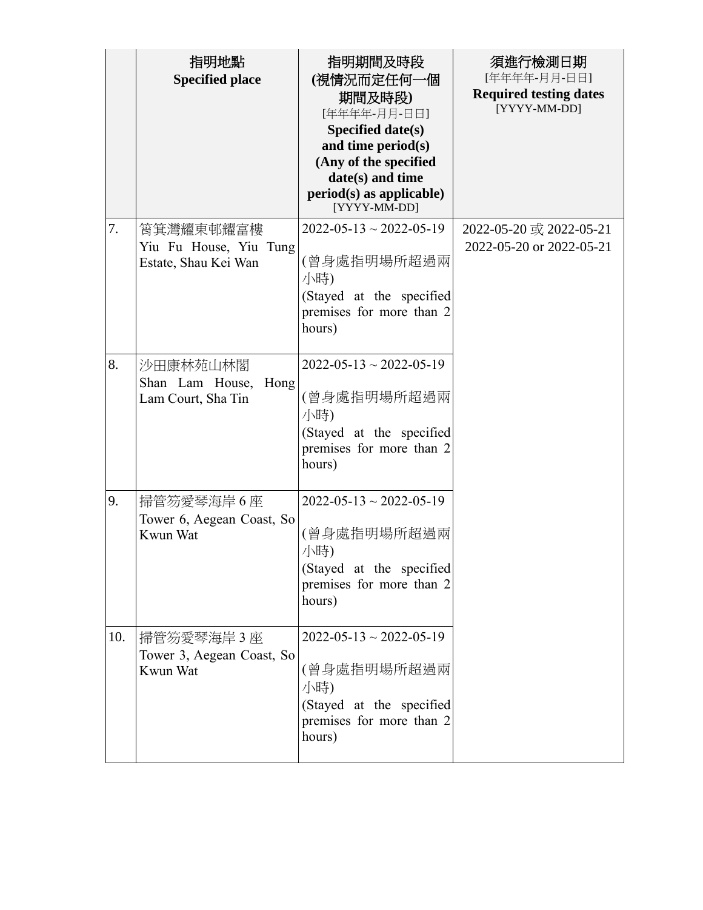|     | 指明地點<br><b>Specified place</b>                              | 指明期間及時段<br>(視情況而定任何一個<br>期間及時段)<br>[年年年年-月月-日日]<br>Specified date(s)<br>and time period(s)<br>(Any of the specified<br>date(s) and time<br>$period(s)$ as applicable)<br>[YYYY-MM-DD] | 須進行檢測日期<br>[年年年年-月月-日日]<br><b>Required testing dates</b><br>[YYYY-MM-DD] |
|-----|-------------------------------------------------------------|---------------------------------------------------------------------------------------------------------------------------------------------------------------------------------------|--------------------------------------------------------------------------|
| 7.  | 筲箕灣耀東邨耀富樓<br>Yiu Fu House, Yiu Tung<br>Estate, Shau Kei Wan | $2022 - 05 - 13 \sim 2022 - 05 - 19$<br>(曾身處指明場所超過兩<br>小時)<br>(Stayed at the specified<br>premises for more than 2<br>hours)                                                          | 2022-05-20 或 2022-05-21<br>2022-05-20 or 2022-05-21                      |
| 8.  | 沙田康林苑山林閣<br>Hong<br>Shan Lam House,<br>Lam Court, Sha Tin   | $2022 - 05 - 13 \sim 2022 - 05 - 19$<br>(曾身處指明場所超過兩<br>小時)<br>(Stayed at the specified<br>premises for more than 2<br>hours)                                                          |                                                                          |
| 9.  | 掃管笏愛琴海岸6座<br>Tower 6, Aegean Coast, So<br>Kwun Wat          | $2022 - 05 - 13 \sim 2022 - 05 - 19$<br>(曾身處指明場所超過兩<br>小時)<br>(Stayed at the specified<br>premises for more than 2<br>hours)                                                          |                                                                          |
| 10. | 掃管笏愛琴海岸3座<br>Tower 3, Aegean Coast, So<br>Kwun Wat          | $2022 - 05 - 13 \sim 2022 - 05 - 19$<br>(曾身處指明場所超過兩<br>小時)<br>(Stayed at the specified<br>premises for more than 2<br>hours)                                                          |                                                                          |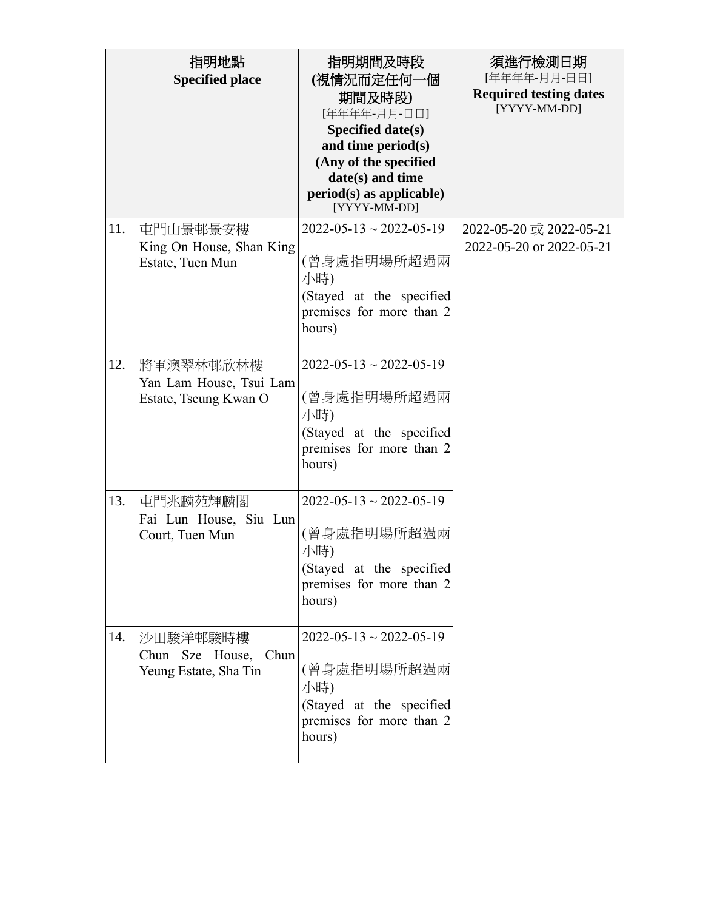|     | 指明地點<br><b>Specified place</b>                                | 指明期間及時段<br>(視情況而定任何一個<br>期間及時段)<br>[年年年年-月月-日日]<br>Specified date(s)<br>and time period(s)<br>(Any of the specified<br>date(s) and time<br>$period(s)$ as applicable)<br>[YYYY-MM-DD] | 須進行檢測日期<br>[年年年年-月月-日日]<br><b>Required testing dates</b><br>[YYYY-MM-DD] |
|-----|---------------------------------------------------------------|---------------------------------------------------------------------------------------------------------------------------------------------------------------------------------------|--------------------------------------------------------------------------|
| 11. | 屯門山景邨景安樓<br>King On House, Shan King<br>Estate, Tuen Mun      | $2022 - 05 - 13 \sim 2022 - 05 - 19$<br>(曾身處指明場所超過兩<br>小時)<br>(Stayed at the specified<br>premises for more than 2<br>hours)                                                          | 2022-05-20 或 2022-05-21<br>2022-05-20 or 2022-05-21                      |
| 12. | 將軍澳翠林邨欣林樓<br>Yan Lam House, Tsui Lam<br>Estate, Tseung Kwan O | $2022 - 05 - 13 \sim 2022 - 05 - 19$<br>(曾身處指明場所超過兩<br>小時)<br>(Stayed at the specified<br>premises for more than 2<br>hours)                                                          |                                                                          |
| 13. | 屯門兆麟苑輝麟閣<br>Fai Lun House, Siu Lun<br>Court, Tuen Mun         | $2022 - 05 - 13 \sim 2022 - 05 - 19$<br>(曾身處指明場所超過兩<br>小時)<br>(Stayed at the specified<br>premises for more than 2<br>hours)                                                          |                                                                          |
| 14. | 沙田駿洋邨駿時樓<br>Chun<br>Chun Sze House,<br>Yeung Estate, Sha Tin  | $2022 - 05 - 13 \approx 2022 - 05 - 19$<br>(曾身處指明場所超過兩<br>小時)<br>(Stayed at the specified<br>premises for more than 2<br>hours)                                                       |                                                                          |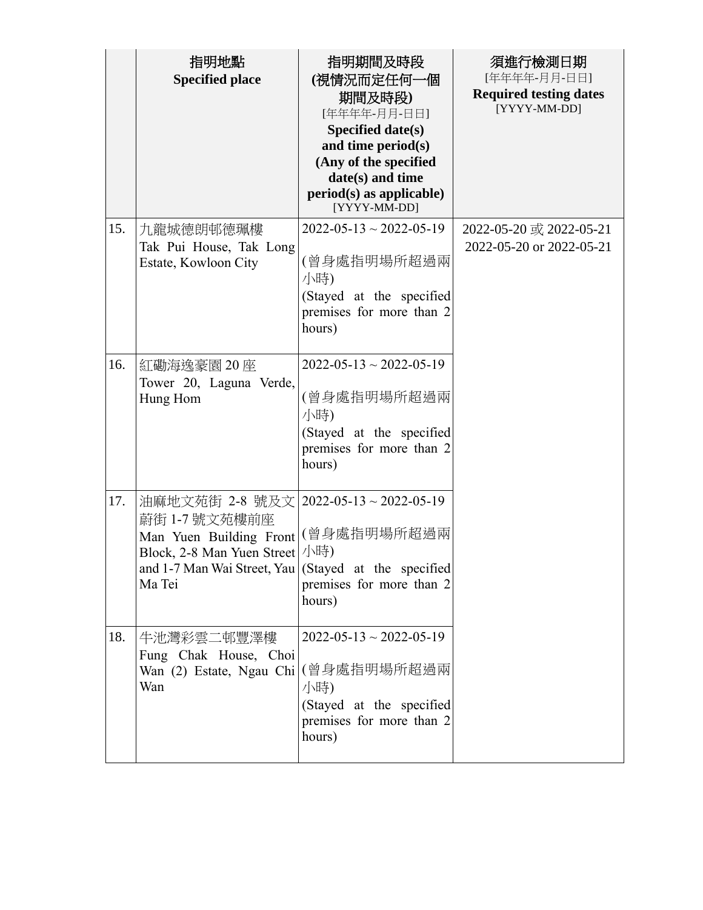|     | 指明地點<br><b>Specified place</b>                                                                                                                                                                | 指明期間及時段<br>(視情況而定任何一個<br>期間及時段)<br>[年年年年-月月-日日]<br>Specified date(s)<br>and time period(s)<br>(Any of the specified<br>date(s) and time<br>$period(s)$ as applicable)<br>[YYYY-MM-DD] | 須進行檢測日期<br>[年年年年-月月-日日]<br><b>Required testing dates</b><br>[YYYY-MM-DD] |
|-----|-----------------------------------------------------------------------------------------------------------------------------------------------------------------------------------------------|---------------------------------------------------------------------------------------------------------------------------------------------------------------------------------------|--------------------------------------------------------------------------|
| 15. | 九龍城德朗邨德珮樓<br>Tak Pui House, Tak Long<br>Estate, Kowloon City                                                                                                                                  | $2022 - 05 - 13 \sim 2022 - 05 - 19$<br>(曾身處指明場所超過兩<br>小時)<br>(Stayed at the specified<br>premises for more than 2<br>hours)                                                          | 2022-05-20 或 2022-05-21<br>2022-05-20 or 2022-05-21                      |
| 16. | 紅磡海逸豪園 20 座<br>Tower 20, Laguna Verde,<br>Hung Hom                                                                                                                                            | $2022 - 05 - 13 \sim 2022 - 05 - 19$<br>(曾身處指明場所超過兩<br>小時)<br>(Stayed at the specified<br>premises for more than 2<br>hours)                                                          |                                                                          |
| 17. | 油麻地文苑街 2-8 號及文   2022-05-13~2022-05-19<br>蔚街 1-7號文苑樓前座<br>Man Yuen Building Front (曾身處指明場所超過兩<br>Block, 2-8 Man Yuen Street<br>and 1-7 Man Wai Street, Yau (Stayed at the specified<br>Ma Tei | 小時)<br>premises for more than 2<br>hours)                                                                                                                                             |                                                                          |
| 18. | 牛池灣彩雲二邨豐澤樓<br>Fung Chak House, Choi<br>Wan (2) Estate, Ngau Chi (曾身處指明場所超過兩<br>Wan                                                                                                            | $2022 - 05 - 13 \sim 2022 - 05 - 19$<br>小時)<br>(Stayed at the specified<br>premises for more than 2<br>hours)                                                                         |                                                                          |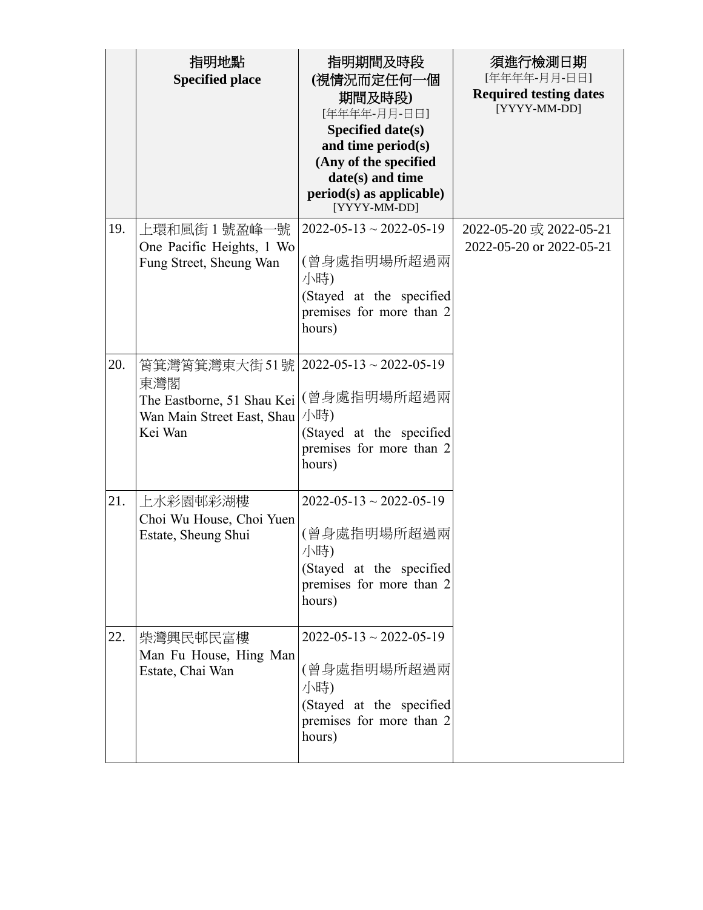|     | 指明地點<br><b>Specified place</b>                                                                                     | 指明期間及時段<br>(視情況而定任何一個<br>期間及時段)<br>[年年年年-月月-日日]<br>Specified date(s)<br>and time period(s)<br>(Any of the specified<br>date(s) and time<br>$period(s)$ as applicable)<br>[YYYY-MM-DD] | 須進行檢測日期<br>[年年年年-月月-日日]<br><b>Required testing dates</b><br>[YYYY-MM-DD] |
|-----|--------------------------------------------------------------------------------------------------------------------|---------------------------------------------------------------------------------------------------------------------------------------------------------------------------------------|--------------------------------------------------------------------------|
| 19. | 上環和風街1號盈峰一號<br>One Pacific Heights, 1 Wo<br>Fung Street, Sheung Wan                                                | $2022 - 05 - 13 \sim 2022 - 05 - 19$<br>(曾身處指明場所超過兩<br>小時)<br>(Stayed at the specified<br>premises for more than 2<br>hours)                                                          | 2022-05-20 或 2022-05-21<br>2022-05-20 or 2022-05-21                      |
| 20. | 筲箕灣筲箕灣東大街51號   2022-05-13~2022-05-19<br>東灣閣<br>The Eastborne, 51 Shau Kei<br>Wan Main Street East, Shau<br>Kei Wan | (曾身處指明場所超過兩<br>小時)<br>(Stayed at the specified<br>premises for more than 2<br>hours)                                                                                                  |                                                                          |
| 21. | 上水彩園邨彩湖樓<br>Choi Wu House, Choi Yuen<br>Estate, Sheung Shui                                                        | $2022 - 05 - 13 \sim 2022 - 05 - 19$<br>(曾身處指明場所超過兩<br>小時)<br>(Stayed at the specified<br>premises for more than 2<br>hours)                                                          |                                                                          |
| 22. | 柴灣興民邨民富樓<br>Man Fu House, Hing Man<br>Estate, Chai Wan                                                             | $2022 - 05 - 13 \sim 2022 - 05 - 19$<br>(曾身處指明場所超過兩<br>小時)<br>(Stayed at the specified<br>premises for more than 2<br>hours)                                                          |                                                                          |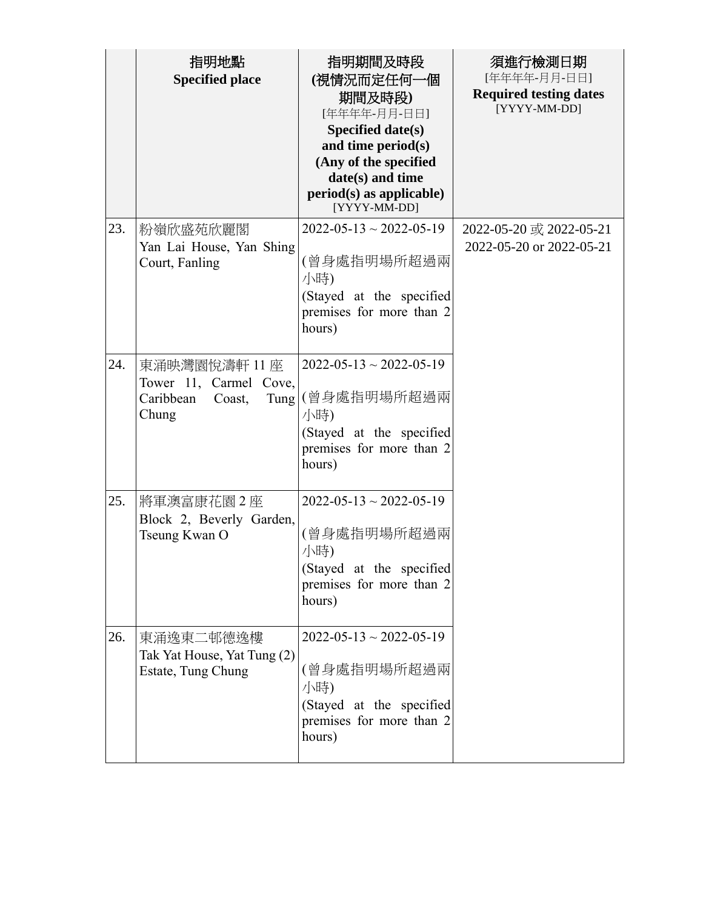|     | 指明地點<br><b>Specified place</b>                                                 | 指明期間及時段<br>(視情況而定任何一個<br>期間及時段)<br>[年年年年-月月-日日]<br>Specified date(s)<br>and time period(s)<br>(Any of the specified<br>date(s) and time<br>$period(s)$ as applicable)<br>[YYYY-MM-DD] | 須進行檢測日期<br>[年年年年-月月-日日]<br><b>Required testing dates</b><br>[YYYY-MM-DD] |
|-----|--------------------------------------------------------------------------------|---------------------------------------------------------------------------------------------------------------------------------------------------------------------------------------|--------------------------------------------------------------------------|
| 23. | 粉嶺欣盛苑欣麗閣<br>Yan Lai House, Yan Shing<br>Court, Fanling                         | $2022 - 05 - 13 \sim 2022 - 05 - 19$<br>(曾身處指明場所超過兩<br>小時)<br>(Stayed at the specified<br>premises for more than 2<br>hours)                                                          | 2022-05-20 或 2022-05-21<br>2022-05-20 or 2022-05-21                      |
| 24. | 東涌映灣園悅濤軒 11座<br>Tower 11, Carmel Cove,<br>Caribbean<br>Coast,<br>Tung<br>Chung | $2022 - 05 - 13 \sim 2022 - 05 - 19$<br>(曾身處指明場所超過兩<br>小時)<br>(Stayed at the specified<br>premises for more than 2<br>hours)                                                          |                                                                          |
| 25. | 將軍澳富康花園2座<br>Block 2, Beverly Garden,<br>Tseung Kwan O                         | $2022 - 05 - 13 \sim 2022 - 05 - 19$<br>(曾身處指明場所超過兩<br>小時)<br>(Stayed at the specified<br>premises for more than 2<br>hours)                                                          |                                                                          |
| 26. | 東涌逸東二邨德逸樓<br>Tak Yat House, Yat Tung (2)<br>Estate, Tung Chung                 | $2022 - 05 - 13 \sim 2022 - 05 - 19$<br>(曾身處指明場所超過兩<br>小時)<br>(Stayed at the specified<br>premises for more than 2<br>hours)                                                          |                                                                          |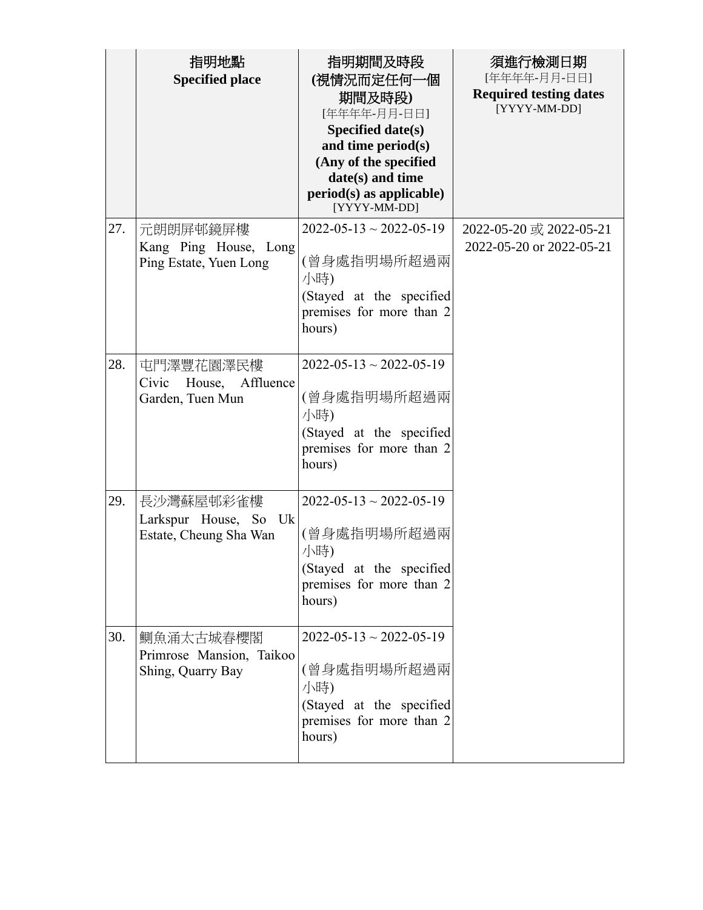|     | 指明地點<br><b>Specified place</b>                               | 指明期間及時段<br>(視情況而定任何一個<br>期間及時段)<br>[年年年年-月月-日日]<br>Specified date(s)<br>and time period(s)<br>(Any of the specified<br>date(s) and time<br>$period(s)$ as applicable)<br>[YYYY-MM-DD] | 須進行檢測日期<br>[年年年年-月月-日日]<br><b>Required testing dates</b><br>[YYYY-MM-DD] |
|-----|--------------------------------------------------------------|---------------------------------------------------------------------------------------------------------------------------------------------------------------------------------------|--------------------------------------------------------------------------|
| 27. | 元朗朗屏邨鏡屏樓<br>Kang Ping House, Long<br>Ping Estate, Yuen Long  | $2022 - 05 - 13 \sim 2022 - 05 - 19$<br>(曾身處指明場所超過兩<br>小時)<br>(Stayed at the specified<br>premises for more than 2<br>hours)                                                          | 2022-05-20 或 2022-05-21<br>2022-05-20 or 2022-05-21                      |
| 28. | 屯門澤豐花園澤民樓<br>Civic<br>House, Affluence<br>Garden, Tuen Mun   | $2022 - 05 - 13 \sim 2022 - 05 - 19$<br>(曾身處指明場所超過兩<br>小時)<br>(Stayed at the specified<br>premises for more than 2<br>hours)                                                          |                                                                          |
| 29. | 長沙灣蘇屋邨彩雀樓<br>Larkspur House, So Uk<br>Estate, Cheung Sha Wan | $2022 - 05 - 13 \sim 2022 - 05 - 19$<br>(曾身處指明場所超過兩<br>小時)<br>(Stayed at the specified<br>premises for more than 2<br>hours)                                                          |                                                                          |
| 30. | 鰂魚涌太古城春櫻閣<br>Primrose Mansion, Taikoo<br>Shing, Quarry Bay   | $2022 - 05 - 13 \approx 2022 - 05 - 19$<br>(曾身處指明場所超過兩<br>小時)<br>(Stayed at the specified<br>premises for more than 2<br>hours)                                                       |                                                                          |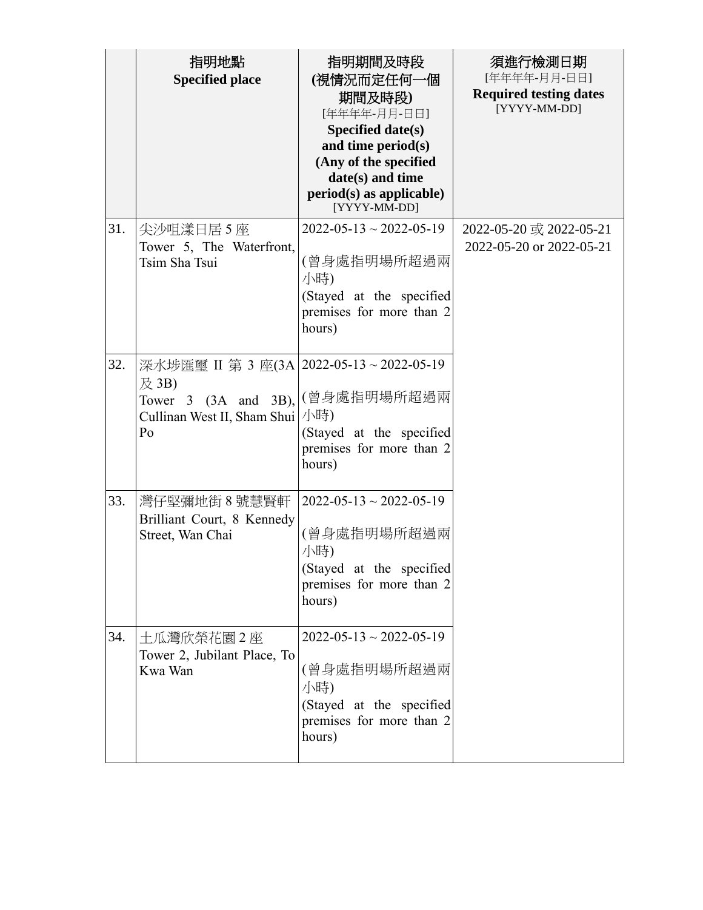|     | 指明地點<br><b>Specified place</b>                                                                                            | 指明期間及時段<br>(視情況而定任何一個<br>期間及時段)<br>[年年年年-月月-日日]<br>Specified date(s)<br>and time period(s)<br>(Any of the specified<br>date(s) and time<br>$period(s)$ as applicable)<br>[YYYY-MM-DD] | 須進行檢測日期<br>[年年年年-月月-日日]<br><b>Required testing dates</b><br>[YYYY-MM-DD] |
|-----|---------------------------------------------------------------------------------------------------------------------------|---------------------------------------------------------------------------------------------------------------------------------------------------------------------------------------|--------------------------------------------------------------------------|
| 31. | 尖沙咀漾日居 5 座<br>Tower 5, The Waterfront,<br>Tsim Sha Tsui                                                                   | $2022 - 05 - 13 \sim 2022 - 05 - 19$<br>(曾身處指明場所超過兩<br>小時)<br>(Stayed at the specified<br>premises for more than 2<br>hours)                                                          | 2022-05-20 或 2022-05-21<br>2022-05-20 or 2022-05-21                      |
| 32. | 深水埗匯璽 II 第 3 座(3A 2022-05-13~2022-05-19<br>及 3B)<br>Tower 3 $(3A \text{ and } 3B)$ ,<br>Cullinan West II, Sham Shui<br>Po | (曾身處指明場所超過兩<br>小時)<br>(Stayed at the specified<br>premises for more than 2<br>hours)                                                                                                  |                                                                          |
| 33. | 灣仔堅彌地街 8 號慧賢軒<br>Brilliant Court, 8 Kennedy<br>Street, Wan Chai                                                           | $2022 - 05 - 13 \sim 2022 - 05 - 19$<br>(曾身處指明場所超過兩<br>小時)<br>(Stayed at the specified<br>premises for more than 2<br>hours)                                                          |                                                                          |
| 34. | 土瓜灣欣榮花園2座<br>Tower 2, Jubilant Place, To<br>Kwa Wan                                                                       | $2022 - 05 - 13 \sim 2022 - 05 - 19$<br>(曾身處指明場所超過兩<br>小時)<br>(Stayed at the specified<br>premises for more than 2<br>hours)                                                          |                                                                          |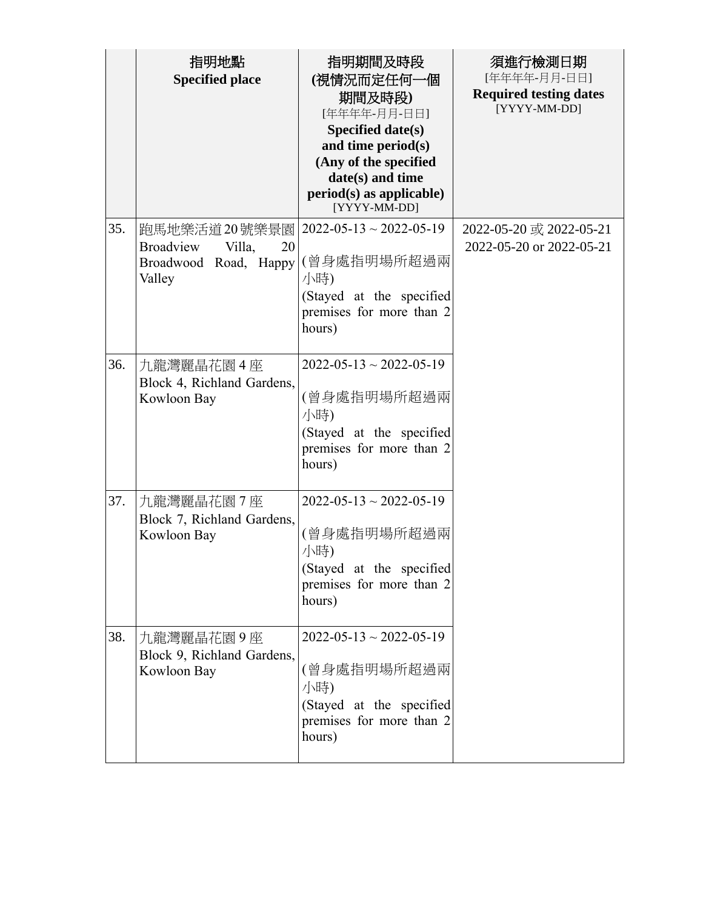|     | 指明地點<br><b>Specified place</b>                                                | 指明期間及時段<br>(視情況而定任何一個<br>期間及時段)<br>[年年年年-月月-日日]<br>Specified date(s)<br>and time period(s)<br>(Any of the specified<br>date(s) and time<br>$period(s)$ as applicable)<br>[YYYY-MM-DD] | 須進行檢測日期<br>[年年年年-月月-日日]<br><b>Required testing dates</b><br>[YYYY-MM-DD] |
|-----|-------------------------------------------------------------------------------|---------------------------------------------------------------------------------------------------------------------------------------------------------------------------------------|--------------------------------------------------------------------------|
| 35. | 跑馬地樂活道 20號樂景園<br>Broadview<br>Villa,<br>20<br>Broadwood Road, Happy<br>Valley | $2022 - 05 - 13 \sim 2022 - 05 - 19$<br>(曾身處指明場所超過兩<br>小時)<br>(Stayed at the specified<br>premises for more than 2<br>hours)                                                          | 2022-05-20 或 2022-05-21<br>2022-05-20 or 2022-05-21                      |
| 36. | 九龍灣麗晶花園4座<br>Block 4, Richland Gardens,<br>Kowloon Bay                        | $2022 - 05 - 13 \sim 2022 - 05 - 19$<br>(曾身處指明場所超過兩<br>小時)<br>(Stayed at the specified<br>premises for more than 2<br>hours)                                                          |                                                                          |
| 37. | 九龍灣麗晶花園7座<br>Block 7, Richland Gardens,<br>Kowloon Bay                        | $2022 - 05 - 13 \sim 2022 - 05 - 19$<br>(曾身處指明場所超過兩<br>小時)<br>(Stayed at the specified<br>premises for more than 2<br>hours)                                                          |                                                                          |
| 38. | 九龍灣麗晶花園9座<br>Block 9, Richland Gardens,<br>Kowloon Bay                        | $2022 - 05 - 13 \sim 2022 - 05 - 19$<br>(曾身處指明場所超過兩<br>小時)<br>(Stayed at the specified<br>premises for more than 2<br>hours)                                                          |                                                                          |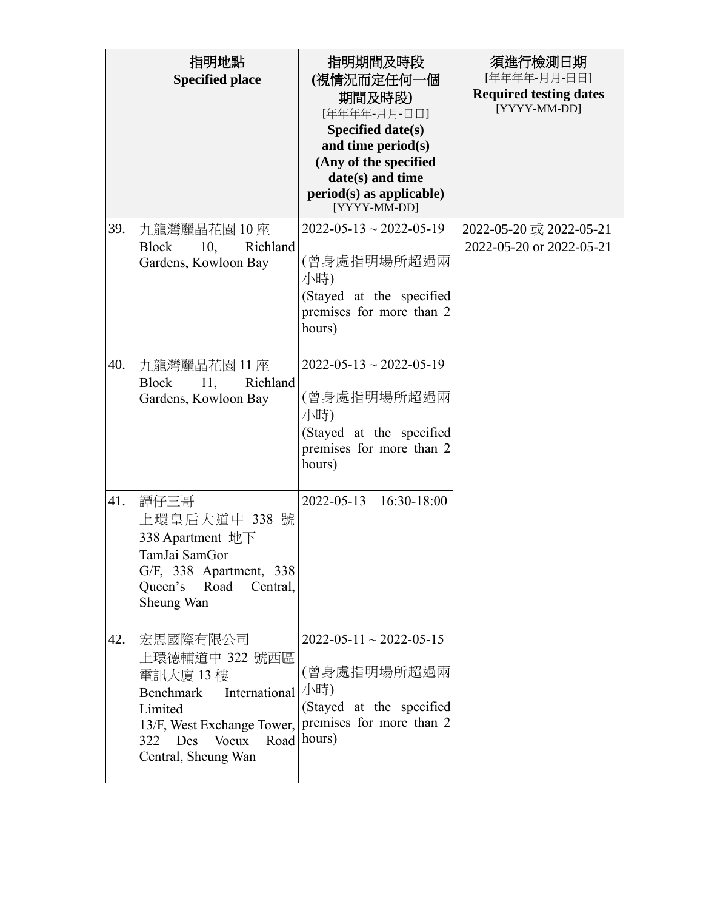|     | 指明地點<br><b>Specified place</b>                                                                                                                                             | 指明期間及時段<br>(視情況而定任何一個<br>期間及時段)<br>[年年年年-月月-日日]<br>Specified date(s)<br>and time period(s)<br>(Any of the specified<br>date(s) and time<br>$period(s)$ as applicable)<br>[YYYY-MM-DD] | 須進行檢測日期<br>[年年年年-月月-日日]<br><b>Required testing dates</b><br>[YYYY-MM-DD] |
|-----|----------------------------------------------------------------------------------------------------------------------------------------------------------------------------|---------------------------------------------------------------------------------------------------------------------------------------------------------------------------------------|--------------------------------------------------------------------------|
| 39. | 九龍灣麗晶花園 10 座<br><b>Block</b><br>10,<br>Richland<br>Gardens, Kowloon Bay                                                                                                    | $2022 - 05 - 13 \sim 2022 - 05 - 19$<br>(曾身處指明場所超過兩<br>小時)<br>(Stayed at the specified<br>premises for more than 2<br>hours)                                                          | 2022-05-20 或 2022-05-21<br>2022-05-20 or 2022-05-21                      |
| 40. | 九龍灣麗晶花園 11座<br><b>Block</b><br>11,<br>Richland<br>Gardens, Kowloon Bay                                                                                                     | $2022 - 05 - 13 \sim 2022 - 05 - 19$<br>(曾身處指明場所超過兩<br>小時)<br>(Stayed at the specified<br>premises for more than 2<br>hours)                                                          |                                                                          |
| 41. | 譚仔三哥<br>上環皇后大道中 338 號<br>338 Apartment 地下<br>TamJai SamGor<br>G/F, 338 Apartment, 338<br>Queen's Road<br>Central,<br>Sheung Wan                                            | 2022-05-13 16:30-18:00                                                                                                                                                                |                                                                          |
| 42. | 宏思國際有限公司<br>上環德輔道中 322 號西區<br>電訊大廈 13樓<br>International<br><b>Benchmark</b><br>Limited<br>13/F, West Exchange Tower,<br>Voeux<br>Des<br>Road<br>322<br>Central, Sheung Wan | $2022 - 05 - 11 \approx 2022 - 05 - 15$<br>(曾身處指明場所超過兩<br>小時)<br>(Stayed at the specified<br>premises for more than 2<br>hours)                                                       |                                                                          |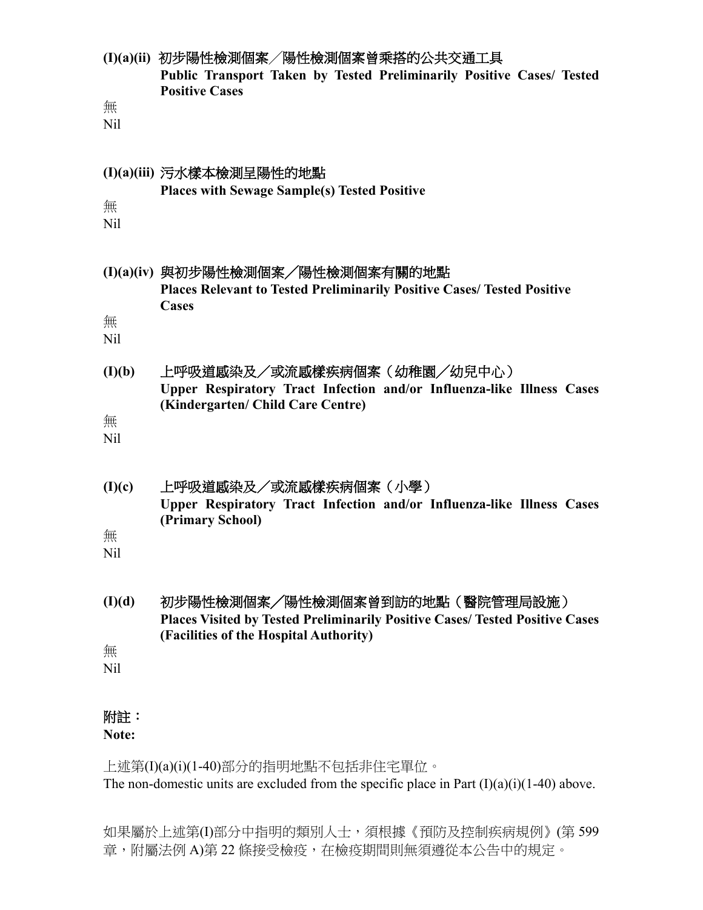| 無<br>N <sub>il</sub> | (I)(a)(ii) 初步陽性檢測個案/陽性檢測個案曾乘搭的公共交通工具<br>Public Transport Taken by Tested Preliminarily Positive Cases/ Tested<br><b>Positive Cases</b> |
|----------------------|----------------------------------------------------------------------------------------------------------------------------------------|
| 無                    | (I)(a)(iii) 污水樣本檢測呈陽性的地點                                                                                                               |
| N <sub>il</sub>      | <b>Places with Sewage Sample(s) Tested Positive</b>                                                                                    |
| 無<br>N <sub>il</sub> | (I)(a)(iv) 與初步陽性檢測個案/陽性檢測個案有關的地點<br><b>Places Relevant to Tested Preliminarily Positive Cases/ Tested Positive</b><br>Cases            |
| (I)(b)               | 上呼吸道感染及/或流感樣疾病個案(幼稚園/幼兒中心)                                                                                                             |
| 無                    | Upper Respiratory Tract Infection and/or Influenza-like Illness Cases                                                                  |
| N <sub>il</sub>      | (Kindergarten/ Child Care Centre)                                                                                                      |
| (I)(c)               | 上呼吸道感染及/或流感樣疾病個案(小學)                                                                                                                   |
| 無                    | Upper Respiratory Tract Infection and/or Influenza-like Illness Cases                                                                  |
| Nil                  | (Primary School)                                                                                                                       |
| (I)(d)               | 初步陽性檢測個案/陽性檢測個案曾到訪的地點(醫院管理局設施)                                                                                                         |
| 無                    | <b>Places Visited by Tested Preliminarily Positive Cases/ Tested Positive Cases</b>                                                    |
| N <sub>il</sub>      | (Facilities of the Hospital Authority)                                                                                                 |
| 附註:                  |                                                                                                                                        |

**Note:**

上述第(I)(a)(i)(1-40)部分的指明地點不包括非住宅單位。 The non-domestic units are excluded from the specific place in Part  $(I)(a)(i)(1-40)$  above.

如果屬於上述第(I)部分中指明的類別人士,須根據《預防及控制疾病規例》(第 599 章,附屬法例 A)第 22 條接受檢疫,在檢疫期間則無須遵從本公告中的規定。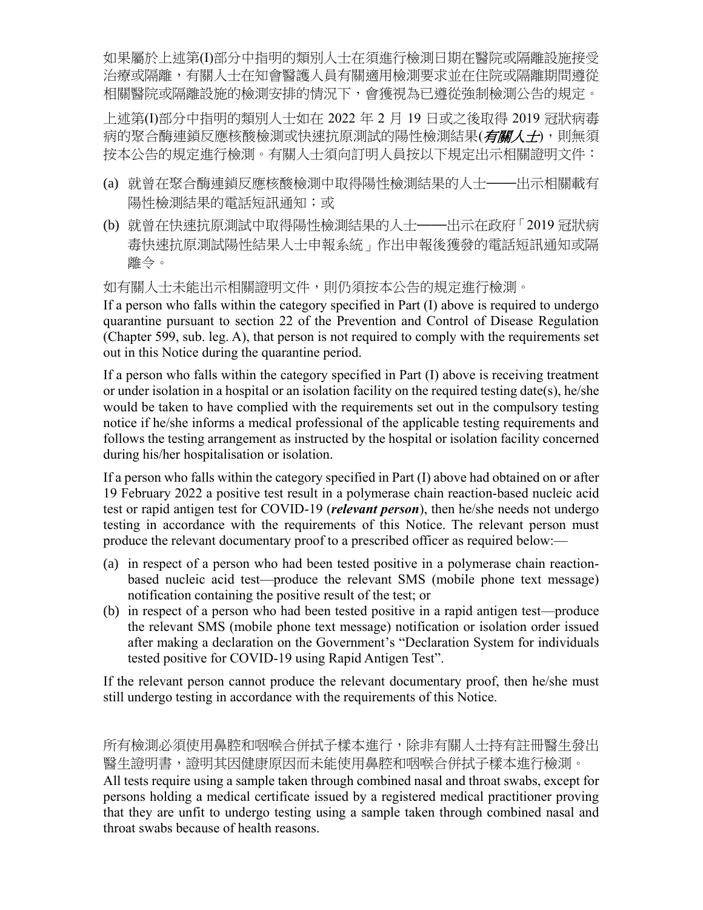如果屬於上述第(I)部分中指明的類別人士在須進行檢測日期在醫院或隔離設施接受 治療或隔離,有關人士在知會醫護人員有關適用檢測要求並在住院或隔離期間遵從 相關醫院或隔離設施的檢測安排的情況下,會獲視為已遵從強制檢測公告的規定。

上述第(I)部分中指明的類別人士如在 2022 年 2 月 19 日或之後取得 2019 冠狀病毒 病的聚合酶連鎖反應核酸檢測或快速抗原測試的陽性檢測結果(有關人士),則無須 按本公告的規定進行檢測。有關人士須向訂明人員按以下規定出示相關證明文件:

- (a) 就曾在聚合酶連鎖反應核酸檢測中取得陽性檢測結果的人士——出示相關載有 陽性檢測結果的電話短訊通知;或
- (b) 就曾在快速抗原測試中取得陽性檢測結果的人士——出示在政府「2019 冠狀病 毒快速抗原測試陽性結果人士申報系統」作出申報後獲發的電話短訊通知或隔 離令。

如有關人士未能出示相關證明文件,則仍須按本公告的規定進行檢測。

If a person who falls within the category specified in Part (I) above is required to undergo quarantine pursuant to section 22 of the Prevention and Control of Disease Regulation (Chapter 599, sub. leg. A), that person is not required to comply with the requirements set out in this Notice during the quarantine period.

If a person who falls within the category specified in Part (I) above is receiving treatment or under isolation in a hospital or an isolation facility on the required testing date(s), he/she would be taken to have complied with the requirements set out in the compulsory testing notice if he/she informs a medical professional of the applicable testing requirements and follows the testing arrangement as instructed by the hospital or isolation facility concerned during his/her hospitalisation or isolation.

If a person who falls within the category specified in Part (I) above had obtained on or after 19 February 2022 a positive test result in a polymerase chain reaction-based nucleic acid test or rapid antigen test for COVID-19 (*relevant person*), then he/she needs not undergo testing in accordance with the requirements of this Notice. The relevant person must produce the relevant documentary proof to a prescribed officer as required below:—

- (a) in respect of a person who had been tested positive in a polymerase chain reactionbased nucleic acid test—produce the relevant SMS (mobile phone text message) notification containing the positive result of the test; or
- (b) in respect of a person who had been tested positive in a rapid antigen test—produce the relevant SMS (mobile phone text message) notification or isolation order issued after making a declaration on the Government's "Declaration System for individuals tested positive for COVID-19 using Rapid Antigen Test".

If the relevant person cannot produce the relevant documentary proof, then he/she must still undergo testing in accordance with the requirements of this Notice.

所有檢測必須使用鼻腔和咽喉合併拭子樣本進行,除非有關人士持有註冊醫生發出 醫生證明書,證明其因健康原因而未能使用鼻腔和咽喉合併拭子樣本進行檢測。

All tests require using a sample taken through combined nasal and throat swabs, except for persons holding a medical certificate issued by a registered medical practitioner proving that they are unfit to undergo testing using a sample taken through combined nasal and throat swabs because of health reasons.